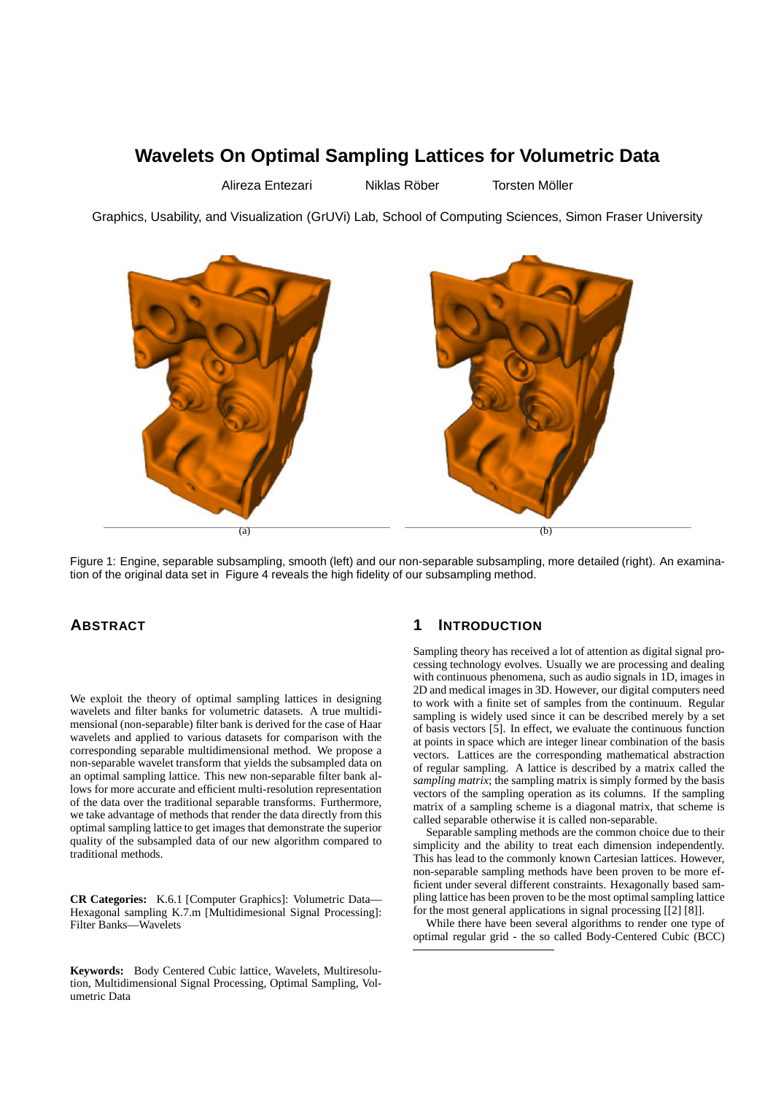# **Wavelets On Optimal Sampling Lattices for Volumetric Data**

Alireza Entezari ill Niklas Röber Torsten Möller

Graphics, Usability, and Visualization (GrUVi) Lab, School of Computing Sciences, Simon Fraser University



Figure 1: Engine, separable subsampling, smooth (left) and our non-separable subsampling, more detailed (right). An examination of the original data set in Figure 4 reveals the high fidelity of our subsampling method.

### **ABSTRACT**

We exploit the theory of optimal sampling lattices in designing wavelets and filter banks for volumetric datasets. A true multidimensional (non-separable) filter bank is derived for the case of Haar wavelets and applied to various datasets for comparison with the corresponding separable multidimensional method. We propose a non-separable wavelet transform that yields the subsampled data on an optimal sampling lattice. This new non-separable filter bank allows for more accurate and efficient multi-resolution representation of the data over the traditional separable transforms. Furthermore, we take advantage of methods that render the data directly from this optimal sampling lattice to get images that demonstrate the superior quality of the subsampled data of our new algorithm compared to traditional methods.

**CR Categories:** K.6.1 [Computer Graphics]: Volumetric Data— Hexagonal sampling K.7.m [Multidimesional Signal Processing]: Filter Banks—Wavelets

**Keywords:** Body Centered Cubic lattice, Wavelets, Multiresolution, Multidimensional Signal Processing, Optimal Sampling, Volumetric Data

# **1 INTRODUCTION**

Sampling theory has received a lot of attention as digital signal processing technology evolves. Usually we are processing and dealing with continuous phenomena, such as audio signals in 1D, images in 2D and medical images in 3D. However, our digital computers need to work with a finite set of samples from the continuum. Regular sampling is widely used since it can be described merely by a set of basis vectors [5]. In effect, we evaluate the continuous function at points in space which are integer linear combination of the basis vectors. Lattices are the corresponding mathematical abstraction of regular sampling. A lattice is described by a matrix called the *sampling matrix*; the sampling matrix is simply formed by the basis vectors of the sampling operation as its columns. If the sampling matrix of a sampling scheme is a diagonal matrix, that scheme is called separable otherwise it is called non-separable.

Separable sampling methods are the common choice due to their simplicity and the ability to treat each dimension independently. This has lead to the commonly known Cartesian lattices. However, non-separable sampling methods have been proven to be more efficient under several different constraints. Hexagonally based sampling lattice has been proven to be the most optimal sampling lattice for the most general applications in signal processing [[2] [8]].

While there have been several algorithms to render one type of optimal regular grid - the so called Body-Centered Cubic (BCC)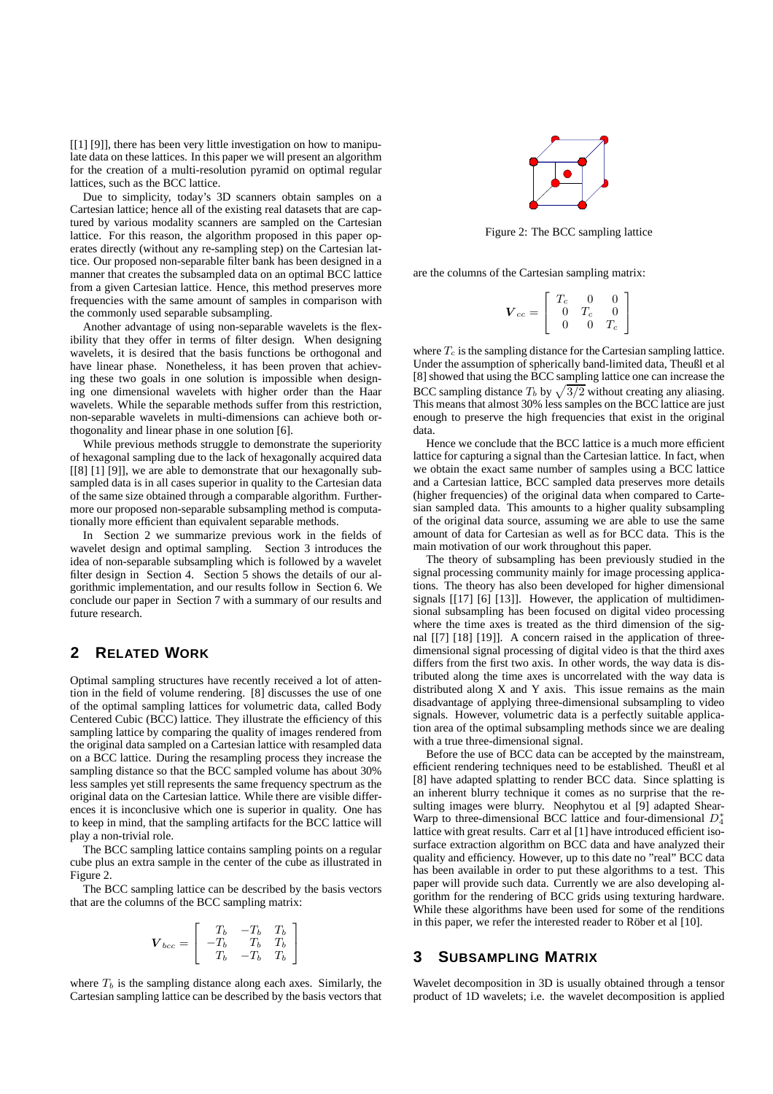[[1] [9]], there has been very little investigation on how to manipulate data on these lattices. In this paper we will present an algorithm for the creation of a multi-resolution pyramid on optimal regular lattices, such as the BCC lattice.

Due to simplicity, today's 3D scanners obtain samples on a Cartesian lattice; hence all of the existing real datasets that are captured by various modality scanners are sampled on the Cartesian lattice. For this reason, the algorithm proposed in this paper operates directly (without any re-sampling step) on the Cartesian lattice. Our proposed non-separable filter bank has been designed in a manner that creates the subsampled data on an optimal BCC lattice from a given Cartesian lattice. Hence, this method preserves more frequencies with the same amount of samples in comparison with the commonly used separable subsampling.

Another advantage of using non-separable wavelets is the flexibility that they offer in terms of filter design. When designing wavelets, it is desired that the basis functions be orthogonal and have linear phase. Nonetheless, it has been proven that achieving these two goals in one solution is impossible when designing one dimensional wavelets with higher order than the Haar wavelets. While the separable methods suffer from this restriction, non-separable wavelets in multi-dimensions can achieve both orthogonality and linear phase in one solution [6].

While previous methods struggle to demonstrate the superiority of hexagonal sampling due to the lack of hexagonally acquired data [[8] [1] [9]], we are able to demonstrate that our hexagonally subsampled data is in all cases superior in quality to the Cartesian data of the same size obtained through a comparable algorithm. Furthermore our proposed non-separable subsampling method is computationally more efficient than equivalent separable methods.

In Section 2 we summarize previous work in the fields of wavelet design and optimal sampling. Section 3 introduces the idea of non-separable subsampling which is followed by a wavelet filter design in Section 4. Section 5 shows the details of our algorithmic implementation, and our results follow in Section 6. We conclude our paper in Section 7 with a summary of our results and future research.

# **2 RELATED WORK**

Optimal sampling structures have recently received a lot of attention in the field of volume rendering. [8] discusses the use of one of the optimal sampling lattices for volumetric data, called Body Centered Cubic (BCC) lattice. They illustrate the efficiency of this sampling lattice by comparing the quality of images rendered from the original data sampled on a Cartesian lattice with resampled data on a BCC lattice. During the resampling process they increase the sampling distance so that the BCC sampled volume has about 30% less samples yet still represents the same frequency spectrum as the original data on the Cartesian lattice. While there are visible differences it is inconclusive which one is superior in quality. One has to keep in mind, that the sampling artifacts for the BCC lattice will play a non-trivial role.

The BCC sampling lattice contains sampling points on a regular cube plus an extra sample in the center of the cube as illustrated in Figure 2.

The BCC sampling lattice can be described by the basis vectors that are the columns of the BCC sampling matrix:

$$
\boldsymbol{V}_{bcc} = \left[ \begin{array}{ccc} T_b & -T_b & T_b \\ -T_b & T_b & T_b \\ T_b & -T_b & T_b \end{array} \right]
$$

where  $T_b$  is the sampling distance along each axes. Similarly, the Cartesian sampling lattice can be described by the basis vectors that



Figure 2: The BCC sampling lattice

are the columns of the Cartesian sampling matrix:

$$
\bm{V}_{cc} = \left[ \begin{array}{ccc} T_c & 0 & 0 \\ 0 & T_c & 0 \\ 0 & 0 & T_c \end{array} \right]
$$

where  $T_c$  is the sampling distance for the Cartesian sampling lattice. Under the assumption of spherically band-limited data, Theußl et al [8] showed that using the BCC sampling lattice one can increase the BCC sampling distance  $T_b$  by  $\sqrt{3/2}$  without creating any aliasing. This means that almost 30% less samples on the BCC lattice are just enough to preserve the high frequencies that exist in the original data.

Hence we conclude that the BCC lattice is a much more efficient lattice for capturing a signal than the Cartesian lattice. In fact, when we obtain the exact same number of samples using a BCC lattice and a Cartesian lattice, BCC sampled data preserves more details (higher frequencies) of the original data when compared to Cartesian sampled data. This amounts to a higher quality subsampling of the original data source, assuming we are able to use the same amount of data for Cartesian as well as for BCC data. This is the main motivation of our work throughout this paper.

The theory of subsampling has been previously studied in the signal processing community mainly for image processing applications. The theory has also been developed for higher dimensional signals [[17] [6] [13]]. However, the application of multidimensional subsampling has been focused on digital video processing where the time axes is treated as the third dimension of the signal [[7] [18] [19]]. A concern raised in the application of threedimensional signal processing of digital video is that the third axes differs from the first two axis. In other words, the way data is distributed along the time axes is uncorrelated with the way data is distributed along X and Y axis. This issue remains as the main disadvantage of applying three-dimensional subsampling to video signals. However, volumetric data is a perfectly suitable application area of the optimal subsampling methods since we are dealing with a true three-dimensional signal.

Before the use of BCC data can be accepted by the mainstream, efficient rendering techniques need to be established. Theußl et al [8] have adapted splatting to render BCC data. Since splatting is an inherent blurry technique it comes as no surprise that the resulting images were blurry. Neophytou et al [9] adapted Shear-Warp to three-dimensional BCC lattice and four-dimensional  $D_4^*$ lattice with great results. Carr et al [1] have introduced efficient isosurface extraction algorithm on BCC data and have analyzed their quality and efficiency. However, up to this date no "real" BCC data has been available in order to put these algorithms to a test. This paper will provide such data. Currently we are also developing algorithm for the rendering of BCC grids using texturing hardware. While these algorithms have been used for some of the renditions in this paper, we refer the interested reader to Röber et al  $[10]$ .

#### **3 SUBSAMPLING MATRIX**

Wavelet decomposition in 3D is usually obtained through a tensor product of 1D wavelets; i.e. the wavelet decomposition is applied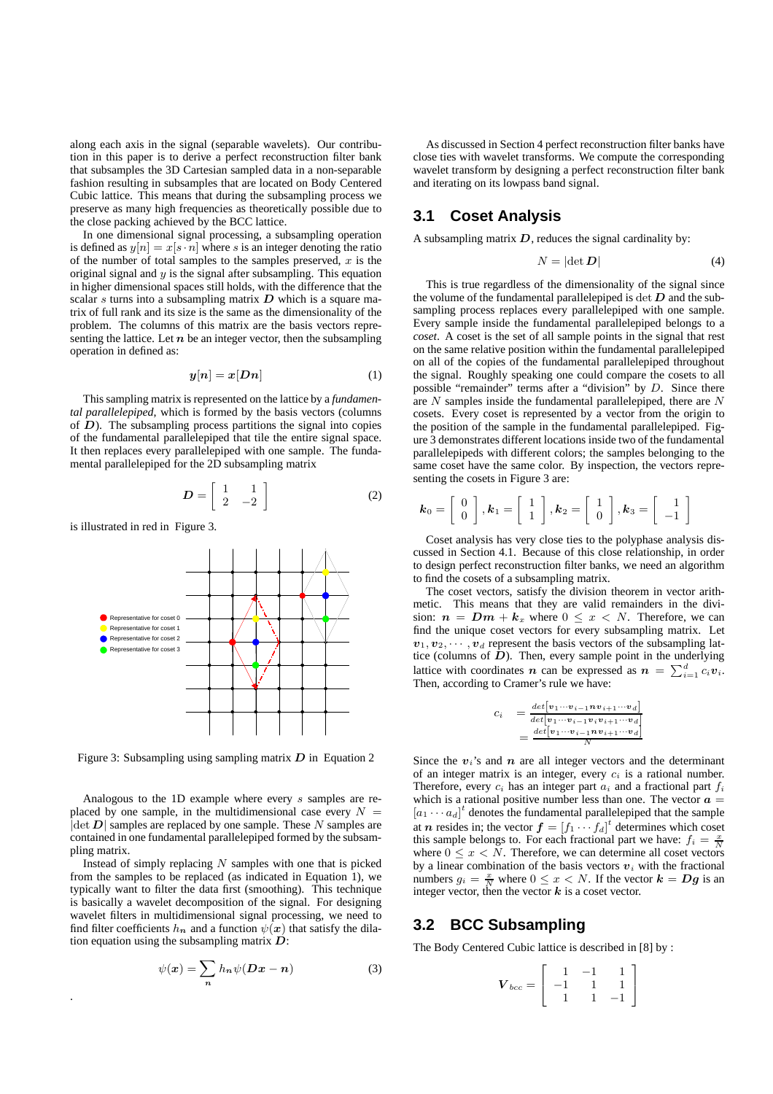along each axis in the signal (separable wavelets). Our contribution in this paper is to derive a perfect reconstruction filter bank that subsamples the 3D Cartesian sampled data in a non-separable fashion resulting in subsamples that are located on Body Centered Cubic lattice. This means that during the subsampling process we preserve as many high frequencies as theoretically possible due to the close packing achieved by the BCC lattice.

In one dimensional signal processing, a subsampling operation is defined as  $y[n] = x[s \cdot n]$  where s is an integer denoting the ratio of the number of total samples to the samples preserved,  $x$  is the original signal and  $y$  is the signal after subsampling. This equation in higher dimensional spaces still holds, with the difference that the scalar s turns into a subsampling matrix  $D$  which is a square matrix of full rank and its size is the same as the dimensionality of the problem. The columns of this matrix are the basis vectors representing the lattice. Let  $n$  be an integer vector, then the subsampling operation in defined as:

$$
y[n] = x[Dn] \tag{1}
$$

Thissampling matrix is represented on the lattice by a *fundamental parallelepiped*, which is formed by the basis vectors (columns of  $D$ ). The subsampling process partitions the signal into copies of the fundamental parallelepiped that tile the entire signal space. It then replaces every parallelepiped with one sample. The fundamental parallelepiped for the 2D subsampling matrix

$$
D = \left[ \begin{array}{cc} 1 & 1 \\ 2 & -2 \end{array} \right] \tag{2}
$$

is illustrated in red in Figure 3.

.



Figure 3: Subsampling using sampling matrix  $D$  in Equation 2

Analogous to the 1D example where every s samples are replaced by one sample, in the multidimensional case every  $N =$  $|\det D|$  samples are replaced by one sample. These N samples are contained in one fundamental parallelepiped formed by the subsampling matrix.

Instead of simply replacing  $N$  samples with one that is picked from the samples to be replaced (as indicated in Equation 1), we typically want to filter the data first (smoothing). This technique is basically a wavelet decomposition of the signal. For designing wavelet filters in multidimensional signal processing, we need to find filter coefficients  $h_n$  and a function  $\psi(x)$  that satisfy the dilation equation using the subsampling matrix  $\mathbf{D}$ :

$$
\psi(x) = \sum_{n} h_n \psi(Dx - n) \tag{3}
$$

As discussed in Section 4 perfect reconstruction filter banks have close ties with wavelet transforms. We compute the corresponding wavelet transform by designing a perfect reconstruction filter bank and iterating on its lowpass band signal.

#### **3.1 Coset Analysis**

A subsampling matrix  $D$ , reduces the signal cardinality by:

$$
N = |\det \mathbf{D}| \tag{4}
$$

This is true regardless of the dimensionality of the signal since the volume of the fundamental parallelepiped is  $\det D$  and the subsampling process replaces every parallelepiped with one sample. Every sample inside the fundamental parallelepiped belongs to a *coset*. A coset is the set of all sample points in the signal that rest on the same relative position within the fundamental parallelepiped on all of the copies of the fundamental parallelepiped throughout the signal. Roughly speaking one could compare the cosets to all possible "remainder" terms after a "division" by  $D$ . Since there are  $N$  samples inside the fundamental parallelepiped, there are  $N$ cosets. Every coset is represented by a vector from the origin to the position of the sample in the fundamental parallelepiped. Figure 3 demonstrates different locations inside two of the fundamental parallelepipeds with different colors; the samples belonging to the same coset have the same color. By inspection, the vectors representing the cosets in Figure 3 are:

$$
\boldsymbol{k}_0 = \left[ \begin{array}{c} 0 \\ 0 \end{array} \right], \boldsymbol{k}_1 = \left[ \begin{array}{c} 1 \\ 1 \end{array} \right], \boldsymbol{k}_2 = \left[ \begin{array}{c} 1 \\ 0 \end{array} \right], \boldsymbol{k}_3 = \left[ \begin{array}{c} 1 \\ -1 \end{array} \right]
$$

Coset analysis has very close ties to the polyphase analysis discussed in Section 4.1. Because of this close relationship, in order to design perfect reconstruction filter banks, we need an algorithm to find the cosets of a subsampling matrix.

The coset vectors, satisfy the division theorem in vector arithmetic. This means that they are valid remainders in the division:  $n = Dm + k_x$  where  $0 \le x < N$ . Therefore, we can find the unique coset vectors for every subsampling matrix. Let  $v_1, v_2, \cdots, v_d$  represent the basis vectors of the subsampling lattice (columns of  $D$ ). Then, every sample point in the underlying lattice with coordinates *n* can be expressed as  $n = \sum_{i=1}^{d} c_i v_i$ . Then, according to Cramer's rule we have:

$$
c_i = \frac{\det[v_1 \cdots v_{i-1} n v_{i+1} \cdots v_d]}{\det[v_1 \cdots v_{i-1} v_i v_{i+1} \cdots v_d]} = \frac{\det[v_1 \cdots v_{i-1} n v_{i+1} \cdots v_d]}{N}
$$

Since the  $v_i$ 's and  $n$  are all integer vectors and the determinant of an integer matrix is an integer, every  $c_i$  is a rational number. Therefore, every  $c_i$  has an integer part  $a_i$  and a fractional part  $f_i$ which is a rational positive number less than one. The vector  $a =$  $[a_1 \cdots a_d]^t$  denotes the fundamental parallelepiped that the sample at *n* resides in; the vector  $f = [f_1 \cdots f_d]^t$  determines which coset this sample belongs to. For each fractional part we have:  $f_i = \frac{x}{N}$ where  $0 \leq x \leq N$ . Therefore, we can determine all coset vectors by a linear combination of the basis vectors  $v_i$  with the fractional numbers  $g_i = \frac{x}{N}$  where  $0 \le x < N$ . If the vector  $k = Dg$  is an integer vector, then the vector  $k$  is a coset vector.

#### **3.2 BCC Subsampling**

The Body Centered Cubic lattice is described in [8] by :

$$
\boldsymbol{V}_{bcc} = \left[ \begin{array}{rrr} 1 & -1 & 1 \\ -1 & 1 & 1 \\ 1 & 1 & -1 \end{array} \right]
$$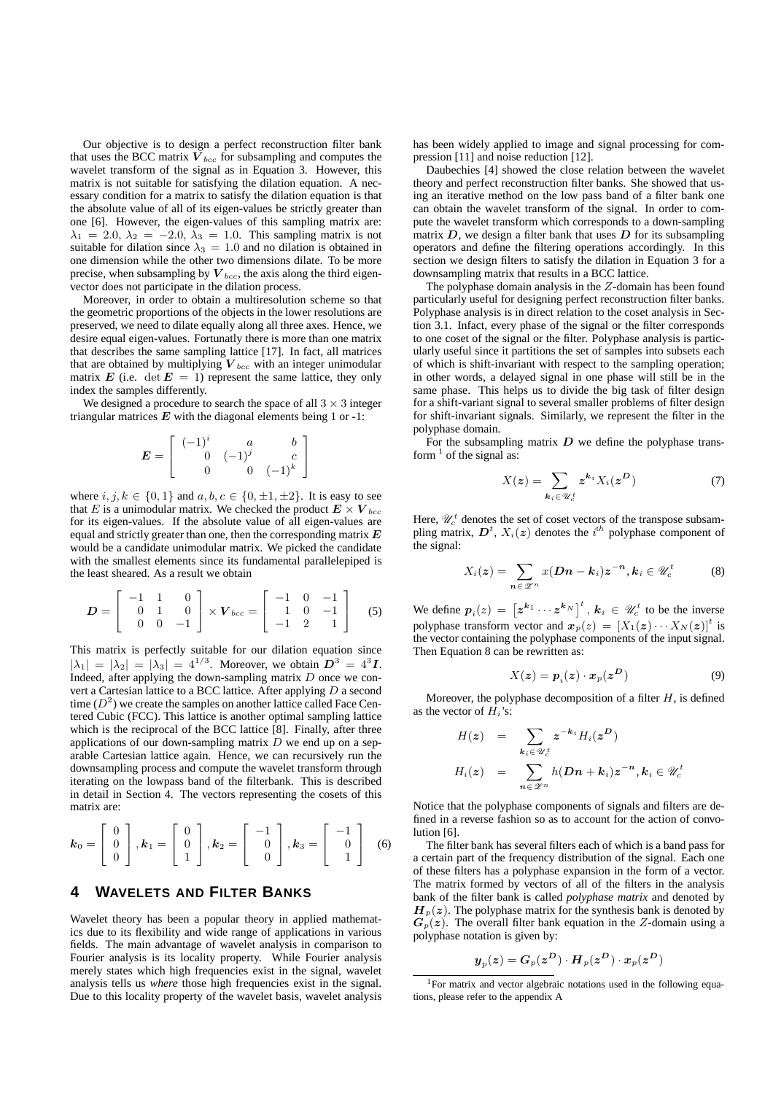Our objective is to design a perfect reconstruction filter bank that uses the BCC matrix  $V_{bcc}$  for subsampling and computes the wavelet transform of the signal as in Equation 3. However, this matrix is not suitable for satisfying the dilation equation. A necessary condition for a matrix to satisfy the dilation equation is that the absolute value of all of its eigen-values be strictly greater than one [6]. However, the eigen-values of this sampling matrix are:  $\lambda_1 = 2.0, \lambda_2 = -2.0, \lambda_3 = 1.0$ . This sampling matrix is not suitable for dilation since  $\lambda_3 = 1.0$  and no dilation is obtained in one dimension while the other two dimensions dilate. To be more precise, when subsampling by  $V_{bcc}$ , the axis along the third eigenvector does not participate in the dilation process.

Moreover, in order to obtain a multiresolution scheme so that the geometric proportions of the objects in the lower resolutions are preserved, we need to dilate equally along all three axes. Hence, we desire equal eigen-values. Fortunatly there is more than one matrix that describes the same sampling lattice [17]. In fact, all matrices that are obtained by multiplying  $V_{bcc}$  with an integer unimodular matrix E (i.e. det  $E = 1$ ) represent the same lattice, they only index the samples differently.

We designed a procedure to search the space of all  $3 \times 3$  integer triangular matrices  $E$  with the diagonal elements being 1 or -1:

> 1  $\overline{1}$

$$
E = \left[ \begin{array}{ccc} (-1)^i & a & b \\ 0 & (-1)^j & c \\ 0 & 0 & (-1)^k \end{array} \right]
$$

where  $i, j, k \in \{0, 1\}$  and  $a, b, c \in \{0, \pm 1, \pm 2\}$ . It is easy to see that E is a unimodular matrix. We checked the product  $E \times V_{bcc}$ for its eigen-values. If the absolute value of all eigen-values are equal and strictly greater than one, then the corresponding matrix  $E$ would be a candidate unimodular matrix. We picked the candidate with the smallest elements since its fundamental parallelepiped is the least sheared. As a result we obtain

$$
D = \begin{bmatrix} -1 & 1 & 0 \\ 0 & 1 & 0 \\ 0 & 0 & -1 \end{bmatrix} \times V_{bcc} = \begin{bmatrix} -1 & 0 & -1 \\ 1 & 0 & -1 \\ -1 & 2 & 1 \end{bmatrix}
$$
 (5)

This matrix is perfectly suitable for our dilation equation since  $|\lambda_1| = |\lambda_2| = |\lambda_3| = 4^{1/3}$ . Moreover, we obtain  $D^3 = 4^3 I$ . Indeed, after applying the down-sampling matrix  $D$  once we convert a Cartesian lattice to a BCC lattice. After applying D a second time  $(D^2)$  we create the samples on another lattice called Face Centered Cubic (FCC). This lattice is another optimal sampling lattice which is the reciprocal of the BCC lattice [8]. Finally, after three applications of our down-sampling matrix  $D$  we end up on a separable Cartesian lattice again. Hence, we can recursively run the downsampling process and compute the wavelet transform through iterating on the lowpass band of the filterbank. This is described in detail in Section 4. The vectors representing the cosets of this matrix are:

$$
\boldsymbol{k}_0 = \left[ \begin{array}{c} 0 \\ 0 \\ 0 \end{array} \right], \boldsymbol{k}_1 = \left[ \begin{array}{c} 0 \\ 0 \\ 1 \end{array} \right], \boldsymbol{k}_2 = \left[ \begin{array}{c} -1 \\ 0 \\ 0 \end{array} \right], \boldsymbol{k}_3 = \left[ \begin{array}{c} -1 \\ 0 \\ 1 \end{array} \right] \quad (6)
$$

### **4 WAVELETS AND FILTER BANKS**

Wavelet theory has been a popular theory in applied mathematics due to its flexibility and wide range of applications in various fields. The main advantage of wavelet analysis in comparison to Fourier analysis is its locality property. While Fourier analysis merely states which high frequencies exist in the signal, wavelet analysis tells us *where* those high frequencies exist in the signal. Due to this locality property of the wavelet basis, wavelet analysis has been widely applied to image and signal processing for compression [11] and noise reduction [12].

Daubechies [4] showed the close relation between the wavelet theory and perfect reconstruction filter banks. She showed that using an iterative method on the low pass band of a filter bank one can obtain the wavelet transform of the signal. In order to compute the wavelet transform which corresponds to a down-sampling matrix  $D$ , we design a filter bank that uses  $D$  for its subsampling operators and define the filtering operations accordingly. In this section we design filters to satisfy the dilation in Equation 3 for a downsampling matrix that results in a BCC lattice.

The polyphase domain analysis in the Z-domain has been found particularly useful for designing perfect reconstruction filter banks. Polyphase analysis is in direct relation to the coset analysis in Section 3.1. Infact, every phase of the signal or the filter corresponds to one coset of the signal or the filter. Polyphase analysis is particularly useful since it partitions the set of samples into subsets each of which is shift-invariant with respect to the sampling operation; in other words, a delayed signal in one phase will still be in the same phase. This helps us to divide the big task of filter design for a shift-variant signal to several smaller problems of filter design for shift-invariant signals. Similarly, we represent the filter in the polyphase domain.

For the subsampling matrix  $D$  we define the polyphase transform  $<sup>1</sup>$  of the signal as:</sup>

$$
X(z) = \sum_{k_i \in \mathcal{U}_c^t} z^{k_i} X_i(z^D) \tag{7}
$$

Here,  $\mathcal{U}_c^t$  denotes the set of coset vectors of the transpose subsampling matrix,  $D^t$ ,  $X_i(z)$  denotes the i<sup>th</sup> polyphase component of the signal:

$$
X_i(z) = \sum_{n \in \mathscr{Z}^n} x(Dn - k_i) z^{-n}, k_i \in \mathscr{U}_c^t \tag{8}
$$

We define  $p_i(z) = \left[ z^{k_1} \cdots z^{k_N} \right]^t$ ,  $k_i \in \mathcal{U}_c^t$  to be the inverse polyphase transform vector and  $x_p(z) = [X_1(z) \cdots X_N(z)]^t$  is the vector containing the polyphase components of the input signal. Then Equation 8 can be rewritten as:

$$
X(z) = p_i(z) \cdot x_p(z^D) \tag{9}
$$

Moreover, the polyphase decomposition of a filter  $H$ , is defined as the vector of  $\overline{H}_i$ 's:

$$
H(z) = \sum_{k_i \in \mathcal{U}_c^t} z^{-k_i} H_i(z^D)
$$
  

$$
H_i(z) = \sum_{n_i \in \mathcal{Z}^n} h(Dn + k_i) z^{-n}, k_i \in \mathcal{U}_c^t
$$

Notice that the polyphase components of signals and filters are defined in a reverse fashion so as to account for the action of convolution [6].

The filter bank has several filters each of which is a band pass for a certain part of the frequency distribution of the signal. Each one of these filters has a polyphase expansion in the form of a vector. The matrix formed by vectors of all of the filters in the analysis bank of the filter bank is called *polyphase matrix* and denoted by  $H_p(z)$ . The polyphase matrix for the synthesis bank is denoted by  $G_p(z)$ . The overall filter bank equation in the Z-domain using a polyphase notation is given by:

$$
\boldsymbol{y}_p(\boldsymbol{z}) = \boldsymbol{G}_p(\boldsymbol{z}^{\boldsymbol{D}})\cdot \boldsymbol{H}_p(\boldsymbol{z}^{\boldsymbol{D}})\cdot \boldsymbol{x}_p(\boldsymbol{z}^{\boldsymbol{D}})
$$

<sup>&</sup>lt;sup>1</sup>For matrix and vector algebraic notations used in the following equations, please refer to the appendix A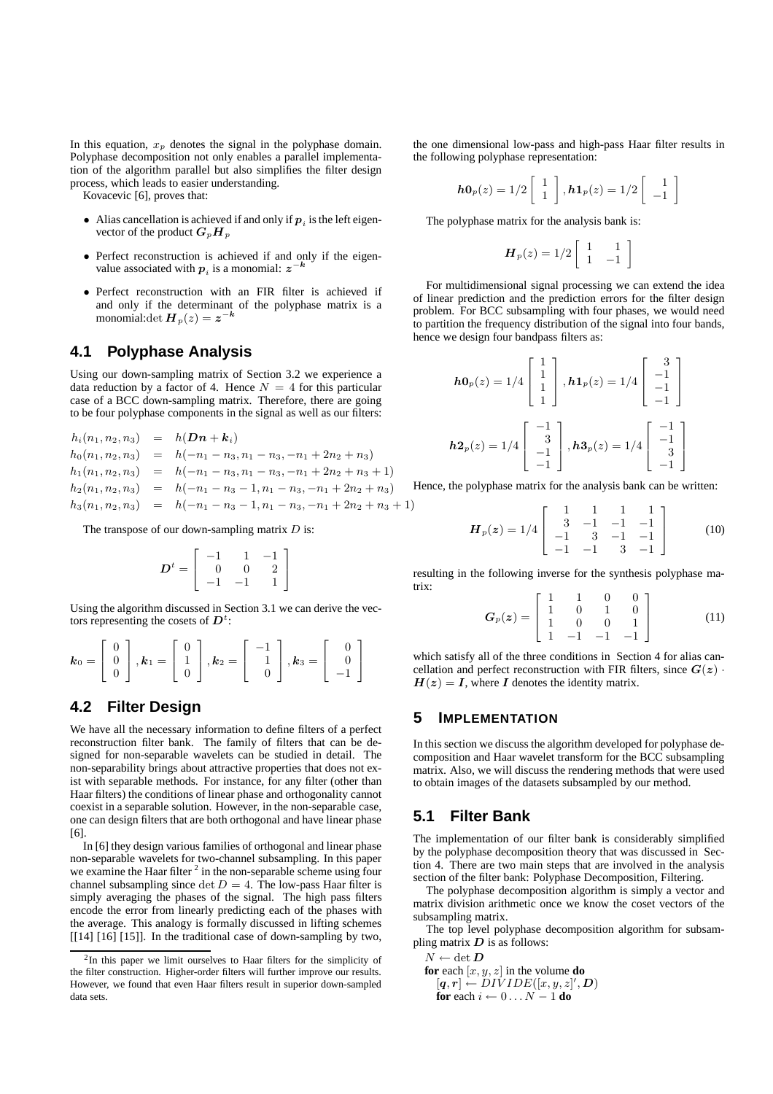In this equation,  $x_p$  denotes the signal in the polyphase domain. Polyphase decomposition not only enables a parallel implementation of the algorithm parallel but also simplifies the filter design process, which leads to easier understanding.

Kovacevic [6], proves that:

- Alias cancellation is achieved if and only if  $p_i$  is the left eigenvector of the product  $G_pH_p$
- Perfect reconstruction is achieved if and only if the eigen-<br>  $k = k$ value associated with  $p_i$  is a monomial:  $z$
- Perfect reconstruction with an FIR filter is achieved if and only if the determinant of the polyphase matrix is a monomial:det  $\boldsymbol{H}_p(z) = z^{-k}$

#### **4.1 Polyphase Analysis**

Using our down-sampling matrix of Section 3.2 we experience a data reduction by a factor of 4. Hence  $N = 4$  for this particular case of a BCC down-sampling matrix. Therefore, there are going to be four polyphase components in the signal as well as our filters:

$$
h_i(n_1, n_2, n_3) = h(Dn + k_i)
$$
  
\n
$$
h_0(n_1, n_2, n_3) = h(-n_1 - n_3, n_1 - n_3, -n_1 + 2n_2 + n_3)
$$
  
\n
$$
h_1(n_1, n_2, n_3) = h(-n_1 - n_3, n_1 - n_3, -n_1 + 2n_2 + n_3 + 1)
$$
  
\n
$$
h_2(n_1, n_2, n_3) = h(-n_1 - n_3 - 1, n_1 - n_3, -n_1 + 2n_2 + n_3)
$$
  
\n
$$
h_3(n_1, n_2, n_3) = h(-n_1 - n_3 - 1, n_1 - n_3, -n_1 + 2n_2 + n_3 + 1)
$$

The transpose of our down-sampling matrix  $D$  is:

$$
D^{t} = \left[ \begin{array}{rrr} -1 & 1 & -1 \\ 0 & 0 & 2 \\ -1 & -1 & 1 \end{array} \right]
$$

Using the algorithm discussed in Section 3.1 we can derive the vectors representing the cosets of  $D^t$ :

$$
\boldsymbol{k}_0 = \left[ \begin{array}{c} 0 \\ 0 \\ 0 \end{array} \right], \boldsymbol{k}_1 = \left[ \begin{array}{c} 0 \\ 1 \\ 0 \end{array} \right], \boldsymbol{k}_2 = \left[ \begin{array}{c} -1 \\ 1 \\ 0 \end{array} \right], \boldsymbol{k}_3 = \left[ \begin{array}{c} 0 \\ 0 \\ -1 \end{array} \right]
$$

### **4.2 Filter Design**

We have all the necessary information to define filters of a perfect reconstruction filter bank. The family of filters that can be designed for non-separable wavelets can be studied in detail. The non-separability brings about attractive properties that does not exist with separable methods. For instance, for any filter (other than Haar filters) the conditions of linear phase and orthogonality cannot coexist in a separable solution. However, in the non-separable case, one can design filters that are both orthogonal and have linear phase [6].

In [6] they design various families of orthogonal and linear phase non-separable wavelets for two-channel subsampling. In this paper we examine the Haar filter  $2$  in the non-separable scheme using four channel subsampling since det  $D = 4$ . The low-pass Haar filter is simply averaging the phases of the signal. The high pass filters encode the error from linearly predicting each of the phases with the average. This analogy is formally discussed in lifting schemes [[14] [16] [15]]. In the traditional case of down-sampling by two,

the one dimensional low-pass and high-pass Haar filter results in the following polyphase representation:

$$
\boldsymbol{h0}_p(z) = 1/2 \left[ \begin{array}{c} 1 \\ 1 \end{array} \right], \boldsymbol{h1}_p(z) = 1/2 \left[ \begin{array}{c} 1 \\ -1 \end{array} \right]
$$

The polyphase matrix for the analysis bank is:

$$
\boldsymbol{H}_p(z) = 1/2 \left[ \begin{array}{cc} 1 & 1 \\ 1 & -1 \end{array} \right]
$$

For multidimensional signal processing we can extend the idea of linear prediction and the prediction errors for the filter design problem. For BCC subsampling with four phases, we would need to partition the frequency distribution of the signal into four bands, hence we design four bandpass filters as:

$$
h0_p(z) = 1/4 \begin{bmatrix} 1 \\ 1 \\ 1 \\ 1 \end{bmatrix}, h1_p(z) = 1/4 \begin{bmatrix} 3 \\ -1 \\ -1 \\ -1 \end{bmatrix}
$$

$$
h2_p(z) = 1/4 \begin{bmatrix} -1 \\ 3 \\ -1 \\ -1 \end{bmatrix}, h3_p(z) = 1/4 \begin{bmatrix} -1 \\ -1 \\ 3 \\ -1 \end{bmatrix}
$$

Hence, the polyphase matrix for the analysis bank can be written:

$$
\boldsymbol{H}_p(\boldsymbol{z}) = 1/4 \left[ \begin{array}{rrrr} 1 & 1 & 1 & 1 \\ 3 & -1 & -1 & -1 \\ -1 & 3 & -1 & -1 \\ -1 & -1 & 3 & -1 \end{array} \right] \tag{10}
$$

resulting in the following inverse for the synthesis polyphase matrix:

$$
G_p(z) = \begin{bmatrix} 1 & 1 & 0 & 0 \\ 1 & 0 & 1 & 0 \\ 1 & 0 & 0 & 1 \\ 1 & -1 & -1 & -1 \end{bmatrix}
$$
 (11)

which satisfy all of the three conditions in Section 4 for alias cancellation and perfect reconstruction with FIR filters, since  $G(z)$ .  $H(z) = I$ , where I denotes the identity matrix.

#### **5 IMPLEMENTATION**

In this section we discuss the algorithm developed for polyphase decomposition and Haar wavelet transform for the BCC subsampling matrix. Also, we will discuss the rendering methods that were used to obtain images of the datasets subsampled by our method.

#### **5.1 Filter Bank**

The implementation of our filter bank is considerably simplified by the polyphase decomposition theory that was discussed in Section 4. There are two main steps that are involved in the analysis section of the filter bank: Polyphase Decomposition, Filtering.

The polyphase decomposition algorithm is simply a vector and matrix division arithmetic once we know the coset vectors of the subsampling matrix.

The top level polyphase decomposition algorithm for subsampling matrix  $D$  is as follows:

$$
N \leftarrow \det \boldsymbol{D}
$$

- $N \leftarrow \det \bm{D}$ <br>**for** each  $[x, y, z]$  in the volume **do**  $[q,r] \leftarrow \textit{DIVIDE}([x,y,z]',\boldsymbol{D})$ 
	- **for** each  $i \leftarrow 0 \dots N 1$  **do**

<sup>&</sup>lt;sup>2</sup>In this paper we limit ourselves to Haar filters for the simplicity of the filter construction. Higher-order filters will further improve our results. However, we found that even Haar filters result in superior down-sampled data sets.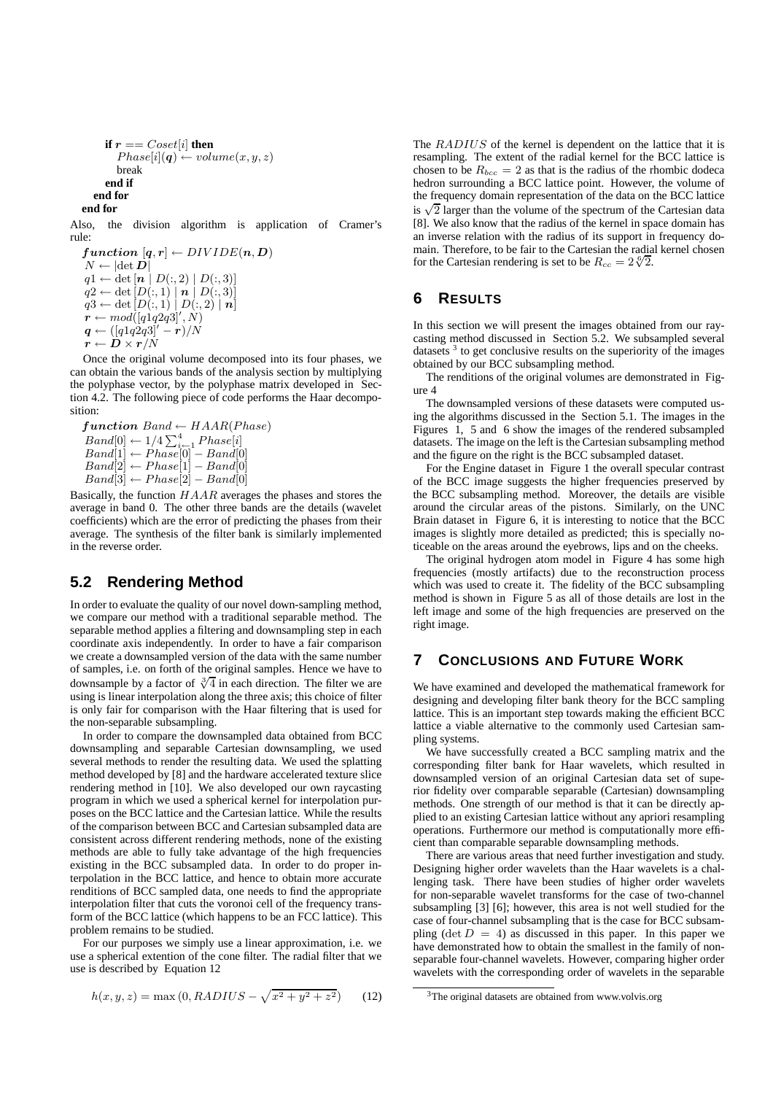```
if r == Cost[i] then
       Phase[i](q) \leftarrow volume(x, y, z)break
     end if
  end for
end for
```
Also, the division algorithm is application of Cramer's rule:

 $function [q, r] \leftarrow DIVIDE(n, D)$  $N \leftarrow |\det \bm{D}|$  $q1 \leftarrow det[\mathbf{n} | D(:,2) | D(:,3)]$  $q2 \leftarrow \det [D(:,1) | n | D(:,3)]$  $q3 \leftarrow \det [D(:,1) | D(:,2) | n]$ <br>  $\boldsymbol{r} \leftarrow mod([q1q2q3]', N)$  $q \leftarrow ([q1q2q3]^{\prime}-r)/N$  $\vec{r} \leftarrow \vec{D} \times \vec{r} / N$ 

Once the original volume decomposed into its four phases, we can obtain the various bands of the analysis section by multiplying the polyphase vector, by the polyphase matrix developed in Section 4.2. The following piece of code performs the Haar decomposition:

 $function$  Band  $\leftarrow$  HAAR(Phase)  $Band[0] \leftarrow 1/4 \sum_{i=1}^{4} Phase[i]$  $Band[1] \leftarrow Phase[0] - Band[0]$  $Band[2] \leftarrow Phase[1] - Band[0]$  $Band[3] \leftarrow Phase[2] - Band[0]$ 

Basically, the function  $HAAR$  averages the phases and stores the average in band 0. The other three bands are the details (wavelet coefficients) which are the error of predicting the phases from their average. The synthesis of the filter bank is similarly implemented in the reverse order.

### **5.2 Rendering Method**

In order to evaluate the quality of our novel down-sampling method, we compare our method with a traditional separable method. The separable method applies a filtering and downsampling step in each coordinate axis independently. In order to have a fair comparison we create a downsampled version of the data with the same number of samples, i.e. on forth of the original samples. Hence we have to downsample by a factor of  $\sqrt[3]{4}$  in each direction. The filter we are using is linear interpolation along the three axis; this choice of filter is only fair for comparison with the Haar filtering that is used for the non-separable subsampling.

In order to compare the downsampled data obtained from BCC downsampling and separable Cartesian downsampling, we used several methods to render the resulting data. We used the splatting method developed by [8] and the hardware accelerated texture slice rendering method in [10]. We also developed our own raycasting program in which we used a spherical kernel for interpolation purposes on the BCC lattice and the Cartesian lattice. While the results of the comparison between BCC and Cartesian subsampled data are consistent across different rendering methods, none of the existing methods are able to fully take advantage of the high frequencies existing in the BCC subsampled data. In order to do proper interpolation in the BCC lattice, and hence to obtain more accurate renditions of BCC sampled data, one needs to find the appropriate interpolation filter that cuts the voronoi cell of the frequency transform of the BCC lattice (which happens to be an FCC lattice). This problem remains to be studied.

For our purposes we simply use a linear approximation, i.e. we use a spherical extention of the cone filter. The radial filter that we use is described by Equation 12

$$
h(x, y, z) = \max(0, RADIUS - \sqrt{x^2 + y^2 + z^2})
$$
 (12)

The RADIUS of the kernel is dependent on the lattice that it is resampling. The extent of the radial kernel for the BCC lattice is chosen to be  $R_{bcc} = 2$  as that is the radius of the rhombic dodeca hedron surrounding a BCC lattice point. However, the volume of the frequency domain representation of the data on the BCC lattice  $\frac{1}{2}$  larger than the volume of the spectrum of the Cartesian data [8]. We also know that the radius of the kernel in space domain has an inverse relation with the radius of its support in frequency domain. Therefore, to be fair to the Cartesian the radial kernel chosen for the Cartesian rendering is set to be  $R_{cc} = 2\sqrt[6]{2}$ .

#### **6 RESULTS**

In this section we will present the images obtained from our raycasting method discussed in Section 5.2. We subsampled several datasets  $3$  to get conclusive results on the superiority of the images obtained by our BCC subsampling method.

The renditions of the original volumes are demonstrated in Figure 4

The downsampled versions of these datasets were computed using the algorithms discussed in the Section 5.1. The images in the Figures 1, 5 and 6 show the images of the rendered subsampled datasets. The image on the left is the Cartesian subsampling method and the figure on the right is the BCC subsampled dataset.

For the Engine dataset in Figure 1 the overall specular contrast of the BCC image suggests the higher frequencies preserved by the BCC subsampling method. Moreover, the details are visible around the circular areas of the pistons. Similarly, on the UNC Brain dataset in Figure 6, it is interesting to notice that the BCC images is slightly more detailed as predicted; this is specially noticeable on the areas around the eyebrows, lips and on the cheeks.

The original hydrogen atom model in Figure 4 has some high frequencies (mostly artifacts) due to the reconstruction process which was used to create it. The fidelity of the BCC subsampling method is shown in Figure 5 as all of those details are lost in the left image and some of the high frequencies are preserved on the right image.

### **7 CONCLUSIONS AND FUTURE WORK**

We have examined and developed the mathematical framework for designing and developing filter bank theory for the BCC sampling lattice. This is an important step towards making the efficient BCC lattice a viable alternative to the commonly used Cartesian sampling systems.

We have successfully created a BCC sampling matrix and the corresponding filter bank for Haar wavelets, which resulted in downsampled version of an original Cartesian data set of superior fidelity over comparable separable (Cartesian) downsampling methods. One strength of our method is that it can be directly applied to an existing Cartesian lattice without any apriori resampling operations. Furthermore our method is computationally more efficient than comparable separable downsampling methods.

There are various areas that need further investigation and study. Designing higher order wavelets than the Haar wavelets is a challenging task. There have been studies of higher order wavelets for non-separable wavelet transforms for the case of two-channel subsampling [3] [6]; however, this area is not well studied for the case of four-channel subsampling that is the case for BCC subsampling (det  $D = 4$ ) as discussed in this paper. In this paper we have demonstrated how to obtain the smallest in the family of nonseparable four-channel wavelets. However, comparing higher order wavelets with the corresponding order of wavelets in the separable

<sup>&</sup>lt;sup>3</sup>The original datasets are obtained from www.volvis.org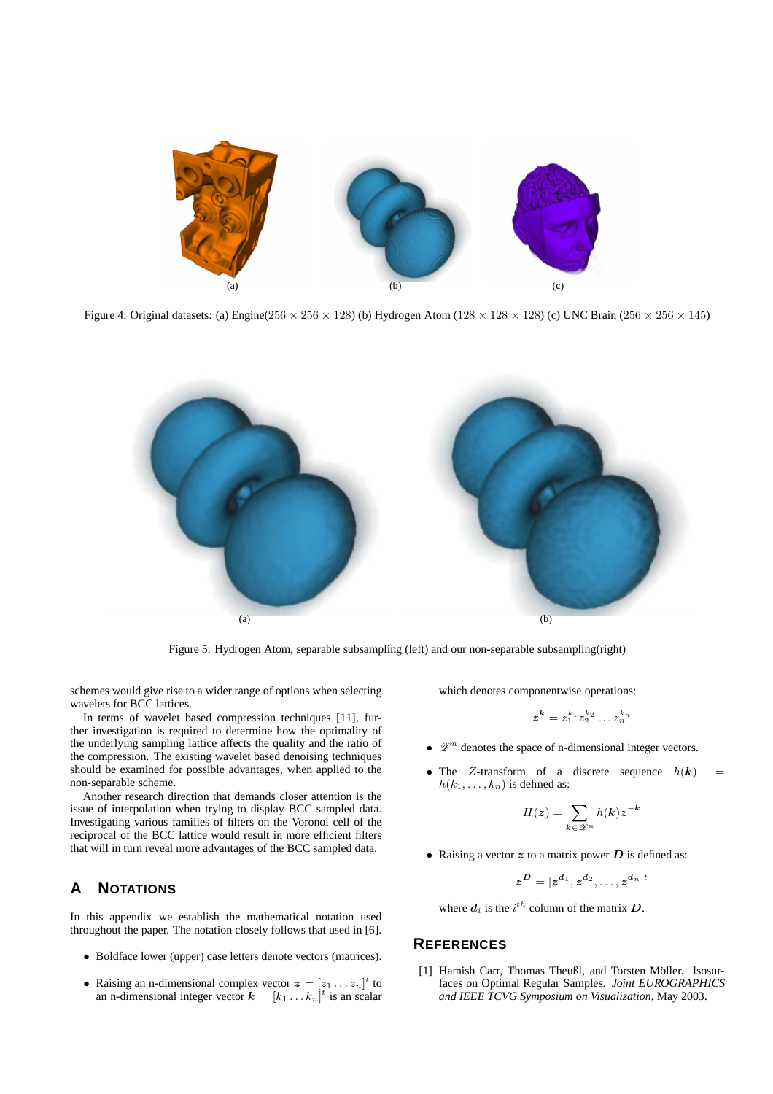

Figure 4: Original datasets: (a) Engine(256  $\times$  256  $\times$  128) (b) Hydrogen Atom (128  $\times$  128  $\times$  128) (c) UNC Brain (256  $\times$  256  $\times$  145)



Figure 5: Hydrogen Atom, separable subsampling (left) and our non-separable subsampling(right)

schemes would give rise to a wider range of options when selecting wavelets for BCC lattices.

In terms of wavelet based compression techniques [11], further investigation is required to determine how the optimality of the underlying sampling lattice affects the quality and the ratio of the compression. The existing wavelet based denoising techniques should be examined for possible advantages, when applied to the non-separable scheme.

Another research direction that demands closer attention is the issue of interpolation when trying to display BCC sampled data. Investigating various families of filters on the Voronoi cell of the reciprocal of the BCC lattice would result in more efficient filters that will in turn reveal more advantages of the BCC sampled data.

### **A NOTATIONS**

In this appendix we establish the mathematical notation used throughout the paper. The notation closely follows that used in [6].

- Boldface lower (upper) case letters denote vectors (matrices).
- Raising an n-dimensional complex vector  $z = [z_1 \dots z_n]^t$  to an n-dimensional integer vector  $\mathbf{k} = [k_1 \dots k_n]^t$  is an scalar

which denotes componentwise operations:

$$
\boldsymbol{z}^{\boldsymbol{k}}=z_1^{k_1}z_2^{k_2}\ldots z_n^{k_n}
$$

- $\bullet$   $\mathscr{Z}^n$  denotes the space of n-dimensional integer vectors.
- The Z-transform of a discrete sequence  $h(\mathbf{k}) =$  $h(k_1, \ldots, k_n)$  is defined as:

$$
H(z) = \sum_{\mathbf{k} \in \mathscr{Z}^n} h(\mathbf{k}) z^{-\mathbf{k}}
$$

• Raising a vector  $z$  to a matrix power  $D$  is defined as:

$$
\boldsymbol{z}^{\boldsymbol{D}} = [\boldsymbol{z}^{\boldsymbol{d}_1}, \boldsymbol{z}^{\boldsymbol{d}_2}, \ldots, \boldsymbol{z}^{\boldsymbol{d}_n}]^t
$$

where  $d_i$  is the  $i^{th}$  column of the matrix  $D$ .

#### **REFERENCES**

[1] Hamish Carr, Thomas Theußl, and Torsten Möller. Isosurfaces on Optimal Regular Samples. *Joint EUROGRAPHICS and IEEE TCVG Symposium on Visualization*, May 2003.